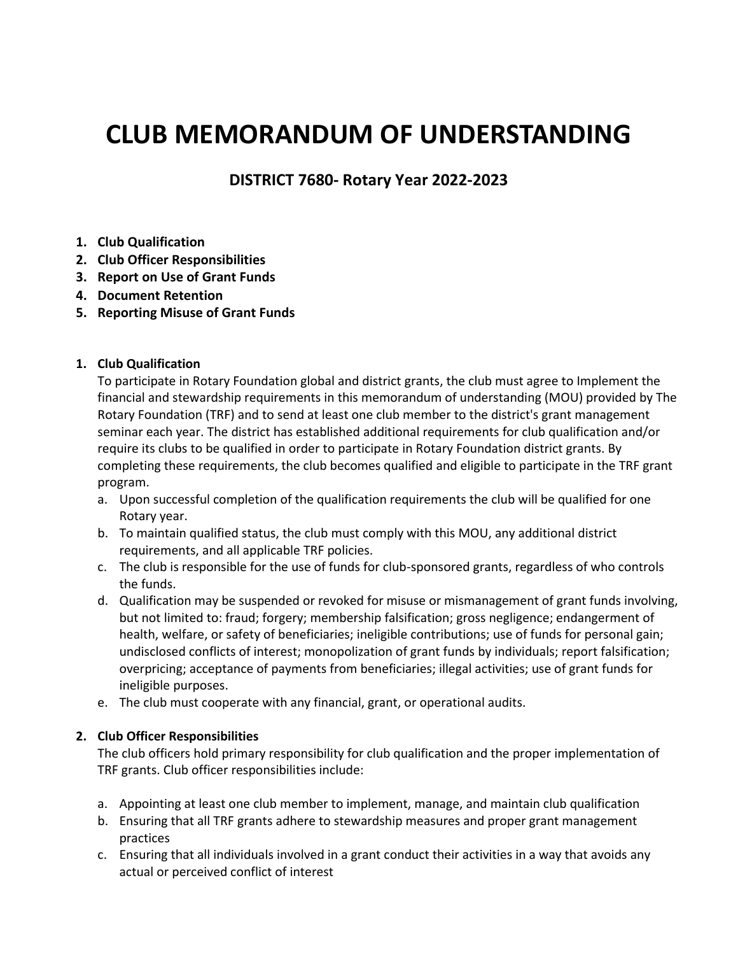# **CLUB MEMORANDUM OF UNDERSTANDING**

**DISTRICT 7680- Rotary Year 2022-2023**

- **1. Club Qualification**
- **2. Club Officer Responsibilities**
- **3. Report on Use of Grant Funds**
- **4. Document Retention**
- **5. Reporting Misuse of Grant Funds**

#### **1. Club Qualification**

To participate in Rotary Foundation global and district grants, the club must agree to Implement the financial and stewardship requirements in this memorandum of understanding (MOU) provided by The Rotary Foundation (TRF) and to send at least one club member to the district's grant management seminar each year. The district has established additional requirements for club qualification and/or require its clubs to be qualified in order to participate in Rotary Foundation district grants. By completing these requirements, the club becomes qualified and eligible to participate in the TRF grant program.

- a. Upon successful completion of the qualification requirements the club will be qualified for one Rotary year.
- b. To maintain qualified status, the club must comply with this MOU, any additional district requirements, and all applicable TRF policies.
- c. The club is responsible for the use of funds for club-sponsored grants, regardless of who controls the funds.
- d. Qualification may be suspended or revoked for misuse or mismanagement of grant funds involving, but not limited to: fraud; forgery; membership falsification; gross negligence; endangerment of health, welfare, or safety of beneficiaries; ineligible contributions; use of funds for personal gain; undisclosed conflicts of interest; monopolization of grant funds by individuals; report falsification; overpricing; acceptance of payments from beneficiaries; illegal activities; use of grant funds for ineligible purposes.
- e. The club must cooperate with any financial, grant, or operational audits.

## **2. Club Officer Responsibilities**

The club officers hold primary responsibility for club qualification and the proper implementation of TRF grants. Club officer responsibilities include:

- a. Appointing at least one club member to implement, manage, and maintain club qualification
- b. Ensuring that all TRF grants adhere to stewardship measures and proper grant management practices
- c. Ensuring that all individuals involved in a grant conduct their activities in a way that avoids any actual or perceived conflict of interest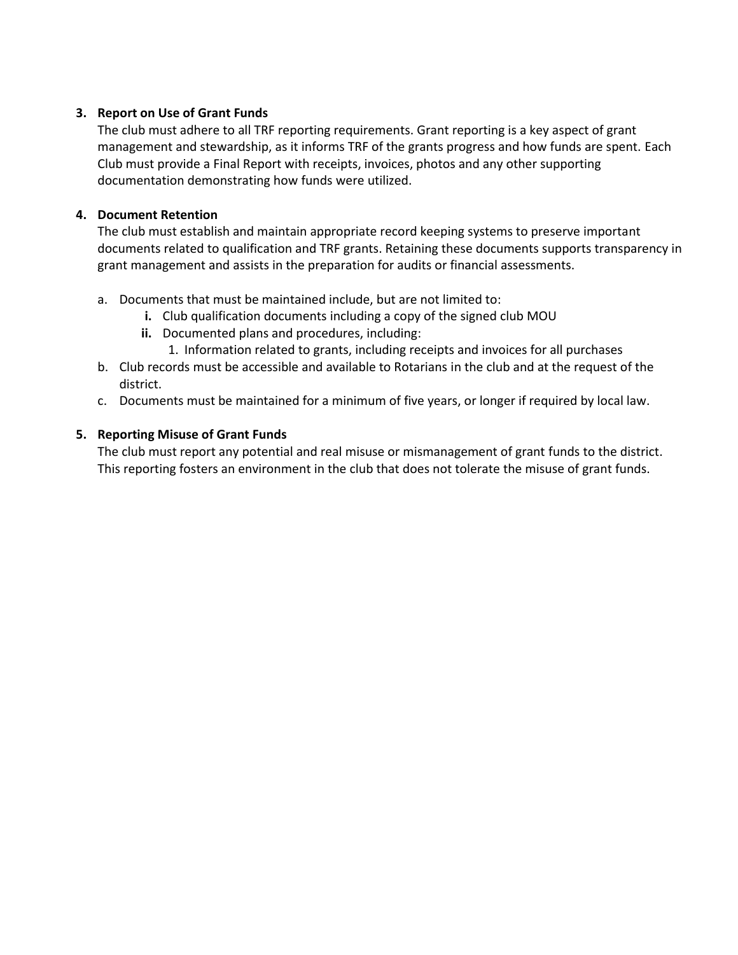#### **3. Report on Use of Grant Funds**

The club must adhere to all TRF reporting requirements. Grant reporting is a key aspect of grant management and stewardship, as it informs TRF of the grants progress and how funds are spent. Each Club must provide a Final Report with receipts, invoices, photos and any other supporting documentation demonstrating how funds were utilized.

#### **4. Document Retention**

The club must establish and maintain appropriate record keeping systems to preserve important documents related to qualification and TRF grants. Retaining these documents supports transparency in grant management and assists in the preparation for audits or financial assessments.

- a. Documents that must be maintained include, but are not limited to:
	- **i.** Club qualification documents including a copy of the signed club MOU
	- **ii.** Documented plans and procedures, including:
		- 1. Information related to grants, including receipts and invoices for all purchases
- b. Club records must be accessible and available to Rotarians in the club and at the request of the district.
- c. Documents must be maintained for a minimum of five years, or longer if required by local law.

#### **5. Reporting Misuse of Grant Funds**

The club must report any potential and real misuse or mismanagement of grant funds to the district. This reporting fosters an environment in the club that does not tolerate the misuse of grant funds.